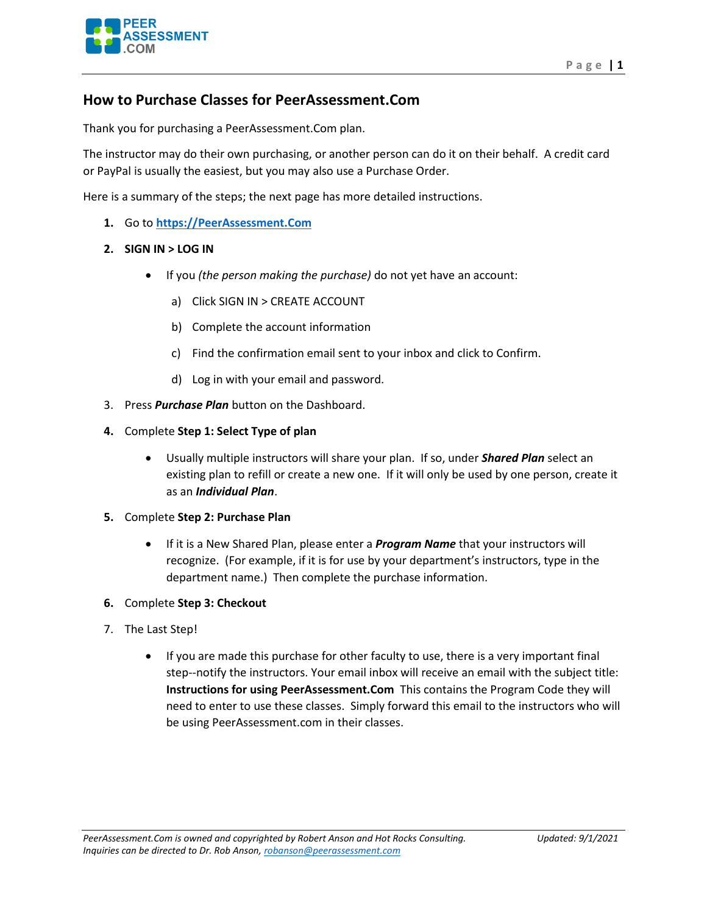

## **How to Purchase Classes for PeerAssessment.Com**

Thank you for purchasing a PeerAssessment.Com plan.

The instructor may do their own purchasing, or another person can do it on their behalf. A credit card or PayPal is usually the easiest, but you may also use a Purchase Order.

Here is a summary of the steps; the next page has more detailed instructions.

- **1.** Go to **[https://PeerAssessment.Com](https://peerassessment.com/)**
- **2. SIGN IN > LOG IN** 
	- If you *(the person making the purchase)* do not yet have an account:
		- a) Click SIGN IN > CREATE ACCOUNT
		- b) Complete the account information
		- c) Find the confirmation email sent to your inbox and click to Confirm.
		- d) Log in with your email and password.
- 3. Press *Purchase Plan* button on the Dashboard.
- **4.** Complete **Step 1: Select Type of plan** 
	- Usually multiple instructors will share your plan. If so, under *Shared Plan* select an existing plan to refill or create a new one. If it will only be used by one person, create it as an *Individual Plan*.
- **5.** Complete **Step 2: Purchase Plan** 
	- If it is a New Shared Plan, please enter a *Program Name* that your instructors will recognize. (For example, if it is for use by your department's instructors, type in the department name.) Then complete the purchase information.
- **6.** Complete **Step 3: Checkout**
- 7. The Last Step!
	- If you are made this purchase for other faculty to use, there is a very important final step--notify the instructors. Your email inbox will receive an email with the subject title: **Instructions for using PeerAssessment.Com** This contains the Program Code they will need to enter to use these classes. Simply forward this email to the instructors who will be using PeerAssessment.com in their classes.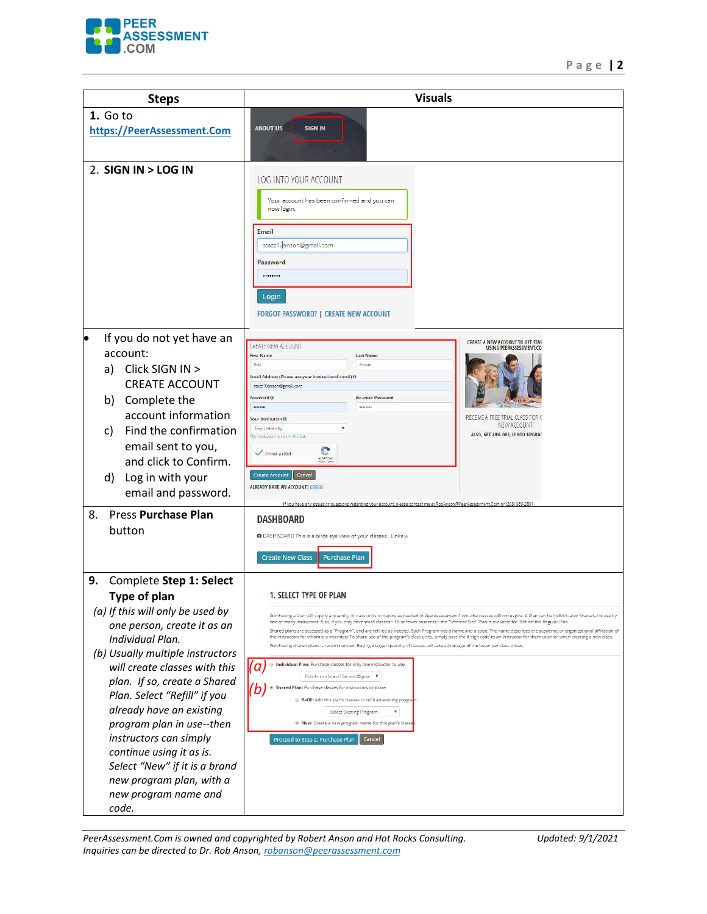

| <b>Steps</b>                                       | <b>Visuals</b>                                                                                                                                                                                                                                                                                                                                               |
|----------------------------------------------------|--------------------------------------------------------------------------------------------------------------------------------------------------------------------------------------------------------------------------------------------------------------------------------------------------------------------------------------------------------------|
| 1. Go to                                           |                                                                                                                                                                                                                                                                                                                                                              |
| https://PeerAssessment.Com                         | <b>ABOUT US</b><br><b>SIGN IN</b>                                                                                                                                                                                                                                                                                                                            |
|                                                    |                                                                                                                                                                                                                                                                                                                                                              |
| 2. SIGN IN > LOG IN                                |                                                                                                                                                                                                                                                                                                                                                              |
|                                                    | LOG INTO YOUR ACCOUNT                                                                                                                                                                                                                                                                                                                                        |
|                                                    | Your account has been confirmed and you can                                                                                                                                                                                                                                                                                                                  |
|                                                    | now login.                                                                                                                                                                                                                                                                                                                                                   |
|                                                    | <b>Email</b>                                                                                                                                                                                                                                                                                                                                                 |
|                                                    | stazz12anson@gmail.com                                                                                                                                                                                                                                                                                                                                       |
|                                                    | Password                                                                                                                                                                                                                                                                                                                                                     |
|                                                    |                                                                                                                                                                                                                                                                                                                                                              |
|                                                    | Login                                                                                                                                                                                                                                                                                                                                                        |
|                                                    | <b>FORGOT PASSWORD?   CREATE NEW ACCOUNT</b>                                                                                                                                                                                                                                                                                                                 |
| If you do not yet have an                          |                                                                                                                                                                                                                                                                                                                                                              |
| account:                                           | CREATE A NEW ACCOUNT TO GET STAR<br>CREATE NEW ACCOUNT<br>USING PEERASSESSMENT.CO<br>First Name<br>Last Name                                                                                                                                                                                                                                                 |
| Click SIGN IN ><br>a)                              | Rob<br>Anson                                                                                                                                                                                                                                                                                                                                                 |
| <b>CREATE ACCOUNT</b>                              | Email Address (Please use your institutional email) @<br>stazz10anson@gmail.com                                                                                                                                                                                                                                                                              |
| Complete the<br>b)                                 | Re-enter Password<br><b>Password GI</b>                                                                                                                                                                                                                                                                                                                      |
| account information                                | <br>********<br>RECEIVE A FREE TRIAL CLASS FOR C<br>Your Institution O                                                                                                                                                                                                                                                                                       |
| Find the confirmation<br>C)                        | NEW ACCOUNT.<br>Test University<br>ALSO, GET 20% OFF, IF YOU UPGRAD<br>ly institution is not in the list                                                                                                                                                                                                                                                     |
| email sent to you,                                 | mnot a robot                                                                                                                                                                                                                                                                                                                                                 |
| and click to Confirm.                              | <b>ACAPTER</b>                                                                                                                                                                                                                                                                                                                                               |
| Log in with your<br>d)                             | Create Account<br>Cancel<br>ALREADY HAVE AN ACCOUNT? LOGIN                                                                                                                                                                                                                                                                                                   |
| email and password.                                | es or questions regarding your account, please contact me at RobAnson@PeenAssess                                                                                                                                                                                                                                                                             |
| <b>Press Purchase Plan</b><br>8.                   | <b>DASHBOARD</b>                                                                                                                                                                                                                                                                                                                                             |
| button                                             | <b>O</b> DASHBOARD This is a birds eye view of your classes. Links w                                                                                                                                                                                                                                                                                         |
|                                                    |                                                                                                                                                                                                                                                                                                                                                              |
|                                                    | <b>Create New Class</b><br><b>Purchase Plan</b>                                                                                                                                                                                                                                                                                                              |
| 9.<br>Complete Step 1: Select                      |                                                                                                                                                                                                                                                                                                                                                              |
| Type of plan                                       | <b>1. SELECT TYPE OF PLAN</b>                                                                                                                                                                                                                                                                                                                                |
| (a) If this will only be used by                   | Purchasing a Plan will supply a quantity of class units to deploy as needed in PeerAssessment.Com--the classes will not expire. A Plan can be Individual or Shared--for use by<br>one or many instructors. Also, if you only have small classes-18 or fewer students-the "Seminar Size" Plan is available for 30% off the Regular Plan.                      |
| one person, create it as an<br>Individual Plan.    | Shared plans are accessed as a "Program", and are refilled as needed. Each Program has a name and a code. The name describes the academic or organizational affiliation of<br>the instructors for whom it is intended. To share use of the program's class units, simply pass the 6 digit code to an instructor for them to enter when creating a new class. |
| (b) Usually multiple instructors                   | Purchasing shared plans is recommended. Buying a larger quantity of classes will take advantage of the lower per class prices.                                                                                                                                                                                                                               |
| will create classes with this                      | lack Individual Plan: Purchase classes for only one instructor to use.<br>l a                                                                                                                                                                                                                                                                                |
| plan. If so, create a Shared                       | Rob Anson (stazz12anson@gma ▼<br><sup>®</sup> Shared Plan: Purchase classes for instructors to share.                                                                                                                                                                                                                                                        |
| Plan. Select "Refill" if you                       | 'D<br>Refill: Add this plan's classes to refill an existing progra <mark>m</mark> .                                                                                                                                                                                                                                                                          |
| already have an existing                           | -Select Existing Program<br>▼                                                                                                                                                                                                                                                                                                                                |
| program plan in use--then                          | <sup>®</sup> New: Create a new program name for this plan's classe                                                                                                                                                                                                                                                                                           |
| instructors can simply<br>continue using it as is. | Cancel<br>Proceed to Step 2: Purchase Plan                                                                                                                                                                                                                                                                                                                   |
| Select "New" if it is a brand                      |                                                                                                                                                                                                                                                                                                                                                              |
| new program plan, with a                           |                                                                                                                                                                                                                                                                                                                                                              |
| new program name and                               |                                                                                                                                                                                                                                                                                                                                                              |
| code.                                              |                                                                                                                                                                                                                                                                                                                                                              |

*PeerAssessment.Com is owned and copyrighted by Robert Anson and Hot Rocks Consulting. Updated: 9/1/2021 Inquiries can be directed to Dr. Rob Anson[, robanson@peerassessment.com](mailto:robanson@peerassessment.com)*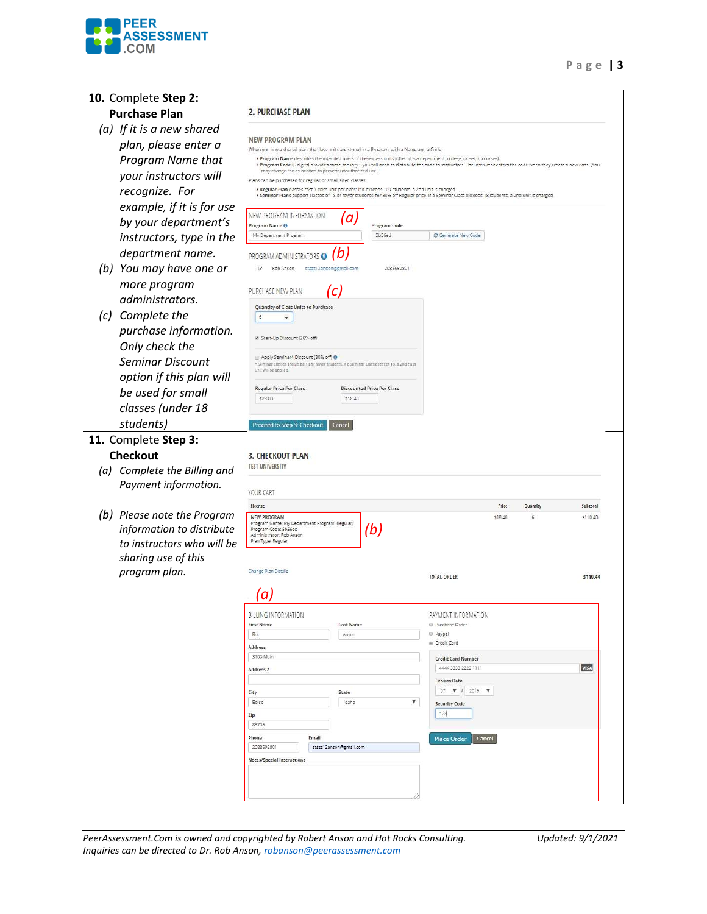